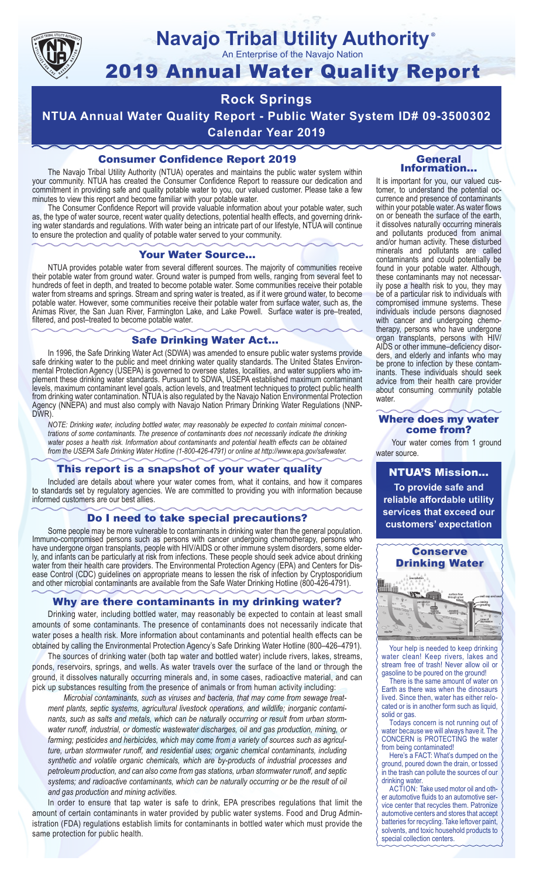

# **Navajo Tribal Utility Authority**

An Enterprise of the Navajo Nation

# 2019 Annual Water Quality Report

# **Rock Springs**

**NTUA Annual Water Quality Report - Public Water System ID# 09-3500302 Calendar Year 2019**

# Consumer Confidence Report 2019

The Navajo Tribal Utility Authority (NTUA) operates and maintains the public water system within your community. NTUA has created the Consumer Confidence Report to reassure our dedication and commitment in providing safe and quality potable water to you, our valued customer. Please take a few minutes to view this report and become familiar with your potable water.

The Consumer Confidence Report will provide valuable information about your potable water, such as, the type of water source, recent water quality detections, potential health effects, and governing drinking water standards and regulations. With water being an intricate part of our lifestyle, NTUA will continue to ensure the protection and quality of potable water served to your community.

#### Your Water Source…

NTUA provides potable water from several different sources. The majority of communities receive their potable water from ground water. Ground water is pumped from wells, ranging from several feet to hundreds of feet in depth, and treated to become potable water. Some communities receive their potable water from streams and springs. Stream and spring water is treated, as if it were ground water, to become potable water. However, some communities receive their potable water from surface water, such as, the Animas River, the San Juan River, Farmington Lake, and Lake Powell. Surface water is pre–treated, filtered, and post–treated to become potable water.

### Safe Drinking Water Act…

In 1996, the Safe Drinking Water Act (SDWA) was amended to ensure public water systems provide safe drinking water to the public and meet drinking water quality standards. The United States Environmental Protection Agency (USEPA) is governed to oversee states, localities, and water suppliers who implement these drinking water standards. Pursuant to SDWA, USEPA established maximum contaminant levels, maximum contaminant level goals, action levels, and treatment techniques to protect public health from drinking water contamination. NTUA is also regulated by the Navajo Nation Environmental Protection Agency (NNEPA) and must also comply with Navajo Nation Primary Drinking Water Regulations (NNP-DWR)

*NOTE: Drinking water, including bottled water, may reasonably be expected to contain minimal concentrations of some contaminants. The presence of contaminants does not necessarily indicate the drinking water poses a health risk. Information about contaminants and potential health effects can be obtained from the USEPA Safe Drinking Water Hotline (1-800-426-4791) or online at http://www.epa.gov/safewater.*

# This report is a snapshot of your water quality

Included are details about where your water comes from, what it contains, and how it compares to standards set by regulatory agencies. We are committed to providing you with information because informed customers are our best allies.

## Do I need to take special precautions?

Some people may be more vulnerable to contaminants in drinking water than the general population. Immuno-compromised persons such as persons with cancer undergoing chemotherapy, persons who have undergone organ transplants, people with HIV/AIDS or other immune system disorders, some elderly, and infants can be particularly at risk from infections. These people should seek advice about drinking water from their health care providers. The Environmental Protection Agency (EPA) and Centers for Disease Control (CDC) guidelines on appropriate means to lessen the risk of infection by Cryptosporidium and other microbial contaminants are available from the Safe Water Drinking Hotline (800-426-4791).

# Why are there contaminants in my drinking water?

Drinking water, including bottled water, may reasonably be expected to contain at least small amounts of some contaminants. The presence of contaminants does not necessarily indicate that water poses a health risk. More information about contaminants and potential health effects can be obtained by calling the Environmental Protection Agency's Safe Drinking Water Hotline (800–426–4791).

The sources of drinking water (both tap water and bottled water) include rivers, lakes, streams, ponds, reservoirs, springs, and wells. As water travels over the surface of the land or through the ground, it dissolves naturally occurring minerals and, in some cases, radioactive material, and can pick up substances resulting from the presence of animals or from human activity including:

*Microbial contaminants, such as viruses and bacteria, that may come from sewage treatment plants, septic systems, agricultural livestock operations, and wildlife; inorganic contaminants, such as salts and metals, which can be naturally occurring or result from urban stormwater runoff, industrial, or domestic wastewater discharges, oil and gas production, mining, or farming; pesticides and herbicides, which may come from a variety of sources such as agriculture, urban stormwater runoff, and residential uses; organic chemical contaminants, including synthetic and volatile organic chemicals, which are by-products of industrial processes and petroleum production, and can also come from gas stations, urban stormwater runoff, and septic systems; and radioactive contaminants, which can be naturally occurring or be the result of oil and gas production and mining activities.*

In order to ensure that tap water is safe to drink, EPA prescribes regulations that limit the amount of certain contaminants in water provided by public water systems. Food and Drug Administration (FDA) regulations establish limits for contaminants in bottled water which must provide the same protection for public health.

#### General Information…

®

It is important for you, our valued customer, to understand the potential occurrence and presence of contaminants within your potable water. As water flows on or beneath the surface of the earth, it dissolves naturally occurring minerals and pollutants produced from animal and/or human activity. These disturbed minerals and pollutants are called contaminants and could potentially be found in your potable water. Although, these contaminants may not necessarily pose a health risk to you, they may be of a particular risk to individuals with compromised immune systems. These individuals include persons diagnosed with cancer and undergoing chemo-<br>therapy, persons who have undergone organ transplants, persons with HIV/ AIDS or other immune–deficiency disor- ders, and elderly and infants who may be prone to infection by these contam- inants. These individuals should seek advice from their health care provider about consuming community potable water.

#### Where does my water come from?

Your water comes from 1 ground water source.

NTUA'S Mission... **To provide safe and reliable affordable utility services that exceed our customers' expectation**



Your help is needed to keep drinking water clean! Keep rivers, lakes and stream free of trash! Never allow oil or gasoline to be poured on the ground!

There is the same amount of water on Earth as there was when the dinosaurs lived. Since then, water has either relocated or is in another form such as liquid, solid or gas.

Todays concern is not running out of water because we will always have it. The CONCERN is PROTECTING the water from being contaminated!

Here's a FACT: What's dumped on the ground, poured down the drain, or tossed in the trash can pollute the sources of our drinking water.

ACTION: Take used motor oil and other automotive fluids to an automotive service center that recycles them. Patronize automotive centers and stores that accept batteries for recycling. Take leftover paint, solvents, and toxic household products to special collection centers.